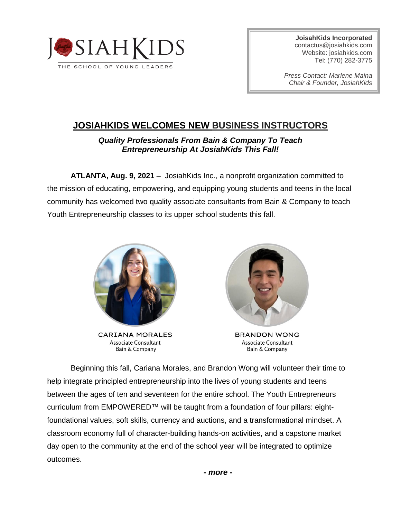

**JoisahKids Incorporated** [contactus@josiahkids.com](mailto:contactus@josiahkids.com) Website: josiahkids.com Tel: (770) 282-3775

*Press Contact: Marlene Maina Chair & Founder, JosiahKids*

# **JOSIAHKIDS WELCOMES NEW BUSINESS INSTRUCTORS**

## *Quality Professionals From Bain & Company To Teach Entrepreneurship At JosiahKids This Fall!*

**ATLANTA, Aug. 9, 2021 –** JosiahKids Inc., a nonprofit organization committed to the mission of educating, empowering, and equipping young students and teens in the local community has welcomed two quality associate consultants from Bain & Company to teach Youth Entrepreneurship classes to its upper school students this fall.



**CARIANA MORALES** Associate Consultant Bain & Company



**BRANDON WONG** Associate Consultant **Bain & Company** 

Beginning this fall, Cariana Morales, and Brandon Wong will volunteer their time to help integrate principled entrepreneurship into the lives of young students and teens between the ages of ten and seventeen for the entire school. The Youth Entrepreneurs curriculum from EMPOWERED™ will be taught from a foundation of four pillars: eightfoundational values, soft skills, currency and auctions, and a transformational mindset. A classroom economy full of character-building hands-on activities, and a capstone market day open to the community at the end of the school year will be integrated to optimize outcomes.

*- more -*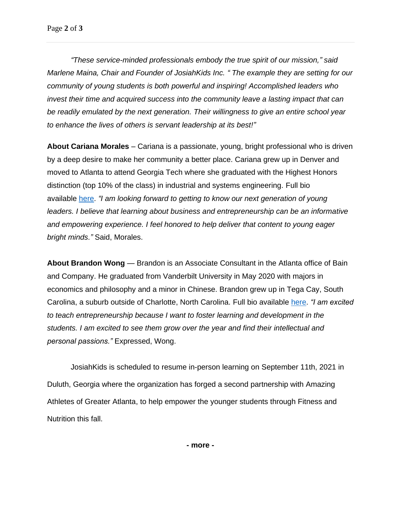*"These service-minded professionals embody the true spirit of our mission," said Marlene Maina, Chair and Founder of JosiahKids Inc. " The example they are setting for our community of young students is both powerful and inspiring! Accomplished leaders who invest their time and acquired success into the community leave a lasting impact that can be readily emulated by the next generation. Their willingness to give an entire school year to enhance the lives of others is servant leadership at its best!"*

**About Cariana Morales** – Cariana is a passionate, young, bright professional who is driven by a deep desire to make her community a better place. Cariana grew up in Denver and moved to Atlanta to attend Georgia Tech where she graduated with the Highest Honors distinction (top 10% of the class) in industrial and systems engineering. Full bio available [here.](https://www.josiahkids.com/about-jk) *"I am looking forward to getting to know our next generation of young leaders. I believe that learning about business and entrepreneurship can be an informative and empowering experience. I feel honored to help deliver that content to young eager bright minds."* Said, Morales.

**About Brandon Wong** — Brandon is an Associate Consultant in the Atlanta office of Bain and Company. He graduated from Vanderbilt University in May 2020 with majors in economics and philosophy and a minor in Chinese. Brandon grew up in Tega Cay, South Carolina, a suburb outside of Charlotte, North Carolina. Full bio available [here.](https://www.josiahkids.com/about-jk) *"I am excited to teach entrepreneurship because I want to foster learning and development in the students. I am excited to see them grow over the year and find their intellectual and personal passions."* Expressed, Wong.

JosiahKids is scheduled to resume in-person learning on September 11th, 2021 in Duluth, Georgia where the organization has forged a second partnership with Amazing Athletes of Greater Atlanta, to help empower the younger students through Fitness and Nutrition this fall.

**- more -**